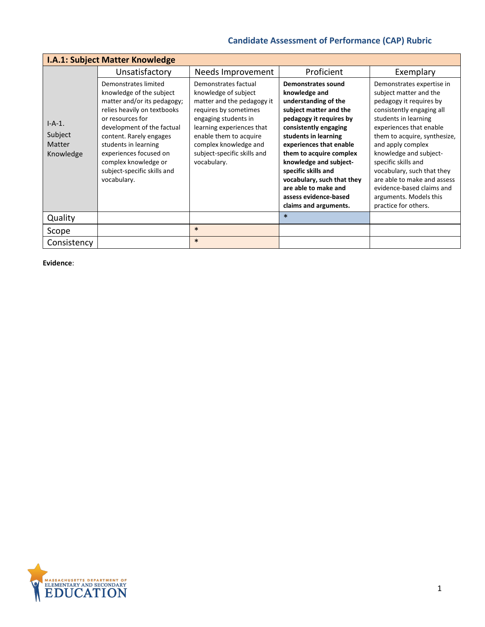| <b>I.A.1: Subject Matter Knowledge</b>            |                                                                                                                                                                                                                                                                                                                     |                                                                                                                                                                                                                                                           |                                                                                                                                                                                                                                                                                                                                                                                         |                                                                                                                                                                                                                                                                                                                                                                                                                  |  |
|---------------------------------------------------|---------------------------------------------------------------------------------------------------------------------------------------------------------------------------------------------------------------------------------------------------------------------------------------------------------------------|-----------------------------------------------------------------------------------------------------------------------------------------------------------------------------------------------------------------------------------------------------------|-----------------------------------------------------------------------------------------------------------------------------------------------------------------------------------------------------------------------------------------------------------------------------------------------------------------------------------------------------------------------------------------|------------------------------------------------------------------------------------------------------------------------------------------------------------------------------------------------------------------------------------------------------------------------------------------------------------------------------------------------------------------------------------------------------------------|--|
|                                                   | Unsatisfactory                                                                                                                                                                                                                                                                                                      | Needs Improvement                                                                                                                                                                                                                                         | Proficient                                                                                                                                                                                                                                                                                                                                                                              | Exemplary                                                                                                                                                                                                                                                                                                                                                                                                        |  |
| $I-A-1.$<br>Subject<br><b>Matter</b><br>Knowledge | Demonstrates limited<br>knowledge of the subject<br>matter and/or its pedagogy;<br>relies heavily on textbooks<br>or resources for<br>development of the factual<br>content. Rarely engages<br>students in learning<br>experiences focused on<br>complex knowledge or<br>subject-specific skills and<br>vocabulary. | Demonstrates factual<br>knowledge of subject<br>matter and the pedagogy it<br>requires by sometimes<br>engaging students in<br>learning experiences that<br>enable them to acquire<br>complex knowledge and<br>subject-specific skills and<br>vocabulary. | <b>Demonstrates sound</b><br>knowledge and<br>understanding of the<br>subject matter and the<br>pedagogy it requires by<br>consistently engaging<br>students in learning<br>experiences that enable<br>them to acquire complex<br>knowledge and subject-<br>specific skills and<br>vocabulary, such that they<br>are able to make and<br>assess evidence-based<br>claims and arguments. | Demonstrates expertise in<br>subject matter and the<br>pedagogy it requires by<br>consistently engaging all<br>students in learning<br>experiences that enable<br>them to acquire, synthesize,<br>and apply complex<br>knowledge and subject-<br>specific skills and<br>vocabulary, such that they<br>are able to make and assess<br>evidence-based claims and<br>arguments. Models this<br>practice for others. |  |
| Quality                                           |                                                                                                                                                                                                                                                                                                                     |                                                                                                                                                                                                                                                           | $\ast$                                                                                                                                                                                                                                                                                                                                                                                  |                                                                                                                                                                                                                                                                                                                                                                                                                  |  |
| Scope                                             |                                                                                                                                                                                                                                                                                                                     | $\ast$                                                                                                                                                                                                                                                    |                                                                                                                                                                                                                                                                                                                                                                                         |                                                                                                                                                                                                                                                                                                                                                                                                                  |  |
| Consistency                                       |                                                                                                                                                                                                                                                                                                                     | $\ast$                                                                                                                                                                                                                                                    |                                                                                                                                                                                                                                                                                                                                                                                         |                                                                                                                                                                                                                                                                                                                                                                                                                  |  |

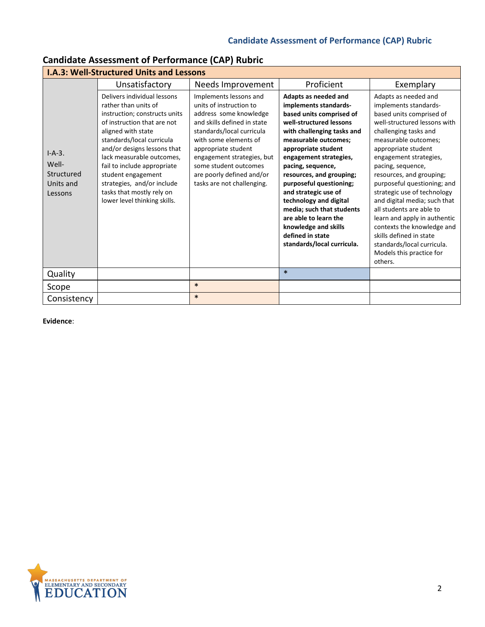| <b>I.A.3: Well-Structured Units and Lessons</b>         |                                                                                                                                                                                                                                                                                                                                                                                    |                                                                                                                                                                                                                                                                                                           |                                                                                                                                                                                                                                                                                                                                                                                                                                                                           |                                                                                                                                                                                                                                                                                                                                                                                                                                                                                                                                                      |  |
|---------------------------------------------------------|------------------------------------------------------------------------------------------------------------------------------------------------------------------------------------------------------------------------------------------------------------------------------------------------------------------------------------------------------------------------------------|-----------------------------------------------------------------------------------------------------------------------------------------------------------------------------------------------------------------------------------------------------------------------------------------------------------|---------------------------------------------------------------------------------------------------------------------------------------------------------------------------------------------------------------------------------------------------------------------------------------------------------------------------------------------------------------------------------------------------------------------------------------------------------------------------|------------------------------------------------------------------------------------------------------------------------------------------------------------------------------------------------------------------------------------------------------------------------------------------------------------------------------------------------------------------------------------------------------------------------------------------------------------------------------------------------------------------------------------------------------|--|
|                                                         | Unsatisfactory                                                                                                                                                                                                                                                                                                                                                                     | Needs Improvement                                                                                                                                                                                                                                                                                         | Proficient                                                                                                                                                                                                                                                                                                                                                                                                                                                                | Exemplary                                                                                                                                                                                                                                                                                                                                                                                                                                                                                                                                            |  |
| $I-A-3.$<br>Well-<br>Structured<br>Units and<br>Lessons | Delivers individual lessons<br>rather than units of<br>instruction; constructs units<br>of instruction that are not<br>aligned with state<br>standards/local curricula<br>and/or designs lessons that<br>lack measurable outcomes,<br>fail to include appropriate<br>student engagement<br>strategies, and/or include<br>tasks that mostly rely on<br>lower level thinking skills. | Implements lessons and<br>units of instruction to<br>address some knowledge<br>and skills defined in state<br>standards/local curricula<br>with some elements of<br>appropriate student<br>engagement strategies, but<br>some student outcomes<br>are poorly defined and/or<br>tasks are not challenging. | Adapts as needed and<br>implements standards-<br>based units comprised of<br>well-structured lessons<br>with challenging tasks and<br>measurable outcomes;<br>appropriate student<br>engagement strategies,<br>pacing, sequence,<br>resources, and grouping;<br>purposeful questioning;<br>and strategic use of<br>technology and digital<br>media; such that students<br>are able to learn the<br>knowledge and skills<br>defined in state<br>standards/local curricula. | Adapts as needed and<br>implements standards-<br>based units comprised of<br>well-structured lessons with<br>challenging tasks and<br>measurable outcomes;<br>appropriate student<br>engagement strategies,<br>pacing, sequence,<br>resources, and grouping;<br>purposeful questioning; and<br>strategic use of technology<br>and digital media; such that<br>all students are able to<br>learn and apply in authentic<br>contexts the knowledge and<br>skills defined in state<br>standards/local curricula.<br>Models this practice for<br>others. |  |
| Quality                                                 |                                                                                                                                                                                                                                                                                                                                                                                    |                                                                                                                                                                                                                                                                                                           | $\ast$                                                                                                                                                                                                                                                                                                                                                                                                                                                                    |                                                                                                                                                                                                                                                                                                                                                                                                                                                                                                                                                      |  |
| Scope                                                   |                                                                                                                                                                                                                                                                                                                                                                                    | $\ast$                                                                                                                                                                                                                                                                                                    |                                                                                                                                                                                                                                                                                                                                                                                                                                                                           |                                                                                                                                                                                                                                                                                                                                                                                                                                                                                                                                                      |  |
| Consistency                                             |                                                                                                                                                                                                                                                                                                                                                                                    | $\ast$                                                                                                                                                                                                                                                                                                    |                                                                                                                                                                                                                                                                                                                                                                                                                                                                           |                                                                                                                                                                                                                                                                                                                                                                                                                                                                                                                                                      |  |

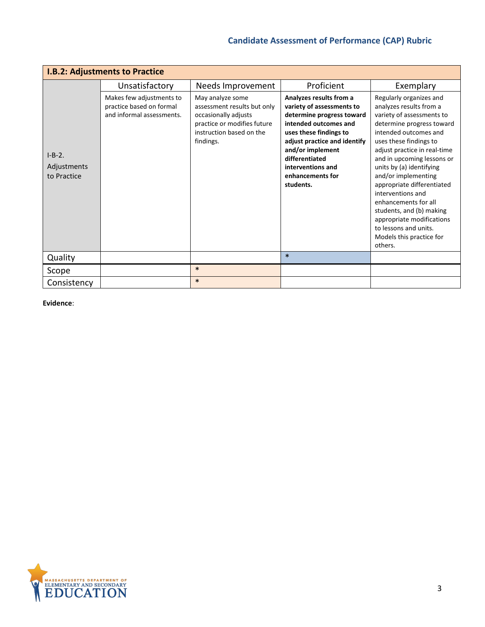| <b>I.B.2: Adjustments to Practice</b>  |                                                                                   |                                                                                                                                                 |                                                                                                                                                                                                                                                                  |                                                                                                                                                                                                                                                                                                                                                                                                                                                                                      |  |
|----------------------------------------|-----------------------------------------------------------------------------------|-------------------------------------------------------------------------------------------------------------------------------------------------|------------------------------------------------------------------------------------------------------------------------------------------------------------------------------------------------------------------------------------------------------------------|--------------------------------------------------------------------------------------------------------------------------------------------------------------------------------------------------------------------------------------------------------------------------------------------------------------------------------------------------------------------------------------------------------------------------------------------------------------------------------------|--|
|                                        | Unsatisfactory                                                                    | Needs Improvement                                                                                                                               | Proficient                                                                                                                                                                                                                                                       | Exemplary                                                                                                                                                                                                                                                                                                                                                                                                                                                                            |  |
| $I-B-2.$<br>Adjustments<br>to Practice | Makes few adjustments to<br>practice based on formal<br>and informal assessments. | May analyze some<br>assessment results but only<br>occasionally adjusts<br>practice or modifies future<br>instruction based on the<br>findings. | Analyzes results from a<br>variety of assessments to<br>determine progress toward<br>intended outcomes and<br>uses these findings to<br>adjust practice and identify<br>and/or implement<br>differentiated<br>interventions and<br>enhancements for<br>students. | Regularly organizes and<br>analyzes results from a<br>variety of assessments to<br>determine progress toward<br>intended outcomes and<br>uses these findings to<br>adjust practice in real-time<br>and in upcoming lessons or<br>units by (a) identifying<br>and/or implementing<br>appropriate differentiated<br>interventions and<br>enhancements for all<br>students, and (b) making<br>appropriate modifications<br>to lessons and units.<br>Models this practice for<br>others. |  |
| Quality                                |                                                                                   |                                                                                                                                                 | $\ast$                                                                                                                                                                                                                                                           |                                                                                                                                                                                                                                                                                                                                                                                                                                                                                      |  |
| Scope                                  |                                                                                   | $\ast$                                                                                                                                          |                                                                                                                                                                                                                                                                  |                                                                                                                                                                                                                                                                                                                                                                                                                                                                                      |  |
| Consistency                            |                                                                                   | $\ast$                                                                                                                                          |                                                                                                                                                                                                                                                                  |                                                                                                                                                                                                                                                                                                                                                                                                                                                                                      |  |

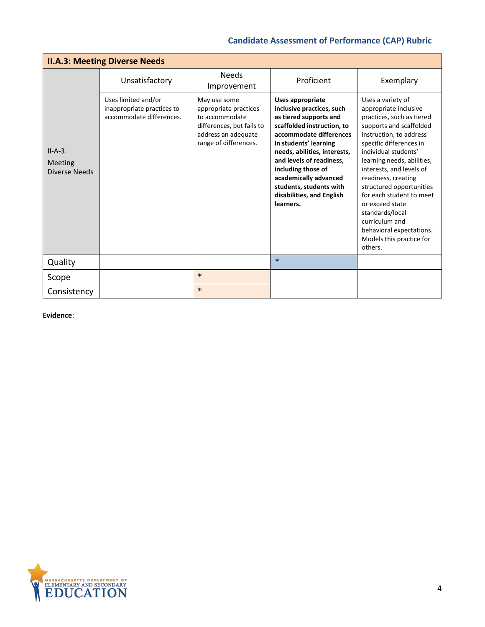| <b>II.A.3: Meeting Diverse Needs</b>         |                                                                               |                                                                                                                                      |                                                                                                                                                                                                                                                                                                                                           |                                                                                                                                                                                                                                                                                                                                                                                                                                                      |  |
|----------------------------------------------|-------------------------------------------------------------------------------|--------------------------------------------------------------------------------------------------------------------------------------|-------------------------------------------------------------------------------------------------------------------------------------------------------------------------------------------------------------------------------------------------------------------------------------------------------------------------------------------|------------------------------------------------------------------------------------------------------------------------------------------------------------------------------------------------------------------------------------------------------------------------------------------------------------------------------------------------------------------------------------------------------------------------------------------------------|--|
|                                              | Unsatisfactory                                                                | <b>Needs</b><br>Improvement                                                                                                          | Proficient                                                                                                                                                                                                                                                                                                                                | Exemplary                                                                                                                                                                                                                                                                                                                                                                                                                                            |  |
| $II-A-3.$<br><b>Meeting</b><br>Diverse Needs | Uses limited and/or<br>inappropriate practices to<br>accommodate differences. | May use some<br>appropriate practices<br>to accommodate<br>differences, but fails to<br>address an adequate<br>range of differences. | Uses appropriate<br>inclusive practices, such<br>as tiered supports and<br>scaffolded instruction, to<br>accommodate differences<br>in students' learning<br>needs, abilities, interests,<br>and levels of readiness.<br>including those of<br>academically advanced<br>students, students with<br>disabilities, and English<br>learners. | Uses a variety of<br>appropriate inclusive<br>practices, such as tiered<br>supports and scaffolded<br>instruction, to address<br>specific differences in<br>individual students'<br>learning needs, abilities,<br>interests, and levels of<br>readiness, creating<br>structured opportunities<br>for each student to meet<br>or exceed state<br>standards/local<br>curriculum and<br>behavioral expectations.<br>Models this practice for<br>others. |  |
| Quality                                      |                                                                               |                                                                                                                                      | $\ast$                                                                                                                                                                                                                                                                                                                                    |                                                                                                                                                                                                                                                                                                                                                                                                                                                      |  |
| Scope                                        |                                                                               | $\ast$                                                                                                                               |                                                                                                                                                                                                                                                                                                                                           |                                                                                                                                                                                                                                                                                                                                                                                                                                                      |  |
| Consistency                                  |                                                                               | $\ast$                                                                                                                               |                                                                                                                                                                                                                                                                                                                                           |                                                                                                                                                                                                                                                                                                                                                                                                                                                      |  |

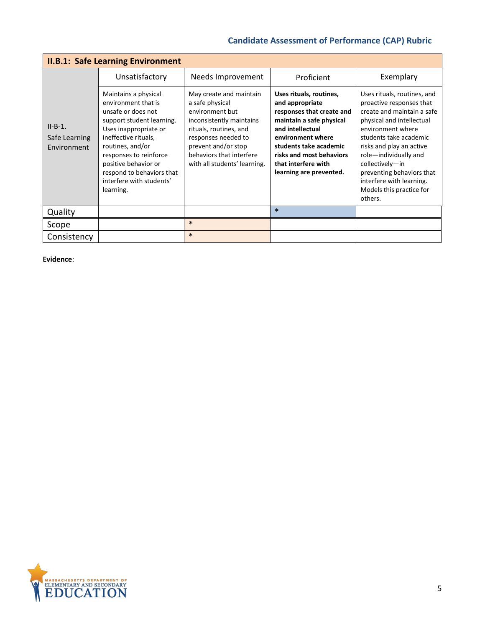| <b>II.B.1: Safe Learning Environment</b>  |                                                                                                                                                                                                                                                                                             |                                                                                                                                                                                                                               |                                                                                                                                                                                                                                                      |                                                                                                                                                                                                                                                                                                                                           |  |
|-------------------------------------------|---------------------------------------------------------------------------------------------------------------------------------------------------------------------------------------------------------------------------------------------------------------------------------------------|-------------------------------------------------------------------------------------------------------------------------------------------------------------------------------------------------------------------------------|------------------------------------------------------------------------------------------------------------------------------------------------------------------------------------------------------------------------------------------------------|-------------------------------------------------------------------------------------------------------------------------------------------------------------------------------------------------------------------------------------------------------------------------------------------------------------------------------------------|--|
|                                           | Unsatisfactory                                                                                                                                                                                                                                                                              | Needs Improvement                                                                                                                                                                                                             | Proficient                                                                                                                                                                                                                                           | Exemplary                                                                                                                                                                                                                                                                                                                                 |  |
| $II-B-1.$<br>Safe Learning<br>Environment | Maintains a physical<br>environment that is<br>unsafe or does not<br>support student learning.<br>Uses inappropriate or<br>ineffective rituals,<br>routines, and/or<br>responses to reinforce<br>positive behavior or<br>respond to behaviors that<br>interfere with students'<br>learning. | May create and maintain<br>a safe physical<br>environment but<br>inconsistently maintains<br>rituals, routines, and<br>responses needed to<br>prevent and/or stop<br>behaviors that interfere<br>with all students' learning. | Uses rituals, routines,<br>and appropriate<br>responses that create and<br>maintain a safe physical<br>and intellectual<br>environment where<br>students take academic<br>risks and most behaviors<br>that interfere with<br>learning are prevented. | Uses rituals, routines, and<br>proactive responses that<br>create and maintain a safe<br>physical and intellectual<br>environment where<br>students take academic<br>risks and play an active<br>role-individually and<br>collectively-in<br>preventing behaviors that<br>interfere with learning.<br>Models this practice for<br>others. |  |
| Quality                                   |                                                                                                                                                                                                                                                                                             |                                                                                                                                                                                                                               | $\ast$                                                                                                                                                                                                                                               |                                                                                                                                                                                                                                                                                                                                           |  |
| Scope                                     |                                                                                                                                                                                                                                                                                             | $\ast$                                                                                                                                                                                                                        |                                                                                                                                                                                                                                                      |                                                                                                                                                                                                                                                                                                                                           |  |
| Consistency                               |                                                                                                                                                                                                                                                                                             | $\ast$                                                                                                                                                                                                                        |                                                                                                                                                                                                                                                      |                                                                                                                                                                                                                                                                                                                                           |  |

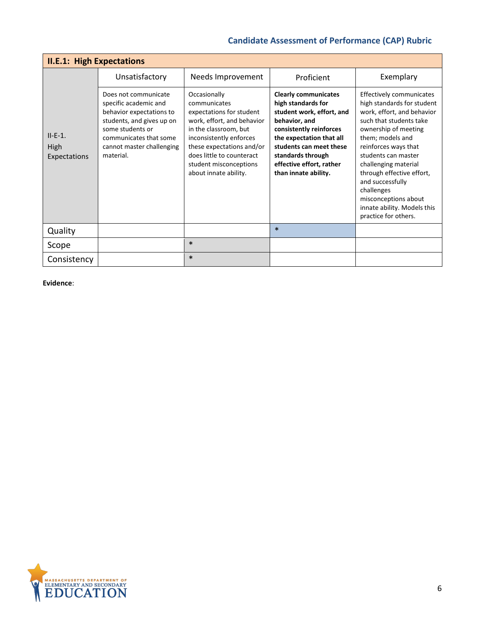| <b>II.E.1: High Expectations</b>  |                                                                                                                                                                                                |                                                                                                                                                                                                                                                         |                                                                                                                                                                                                                                                            |                                                                                                                                                                                                                                                                                                                                                                                  |  |
|-----------------------------------|------------------------------------------------------------------------------------------------------------------------------------------------------------------------------------------------|---------------------------------------------------------------------------------------------------------------------------------------------------------------------------------------------------------------------------------------------------------|------------------------------------------------------------------------------------------------------------------------------------------------------------------------------------------------------------------------------------------------------------|----------------------------------------------------------------------------------------------------------------------------------------------------------------------------------------------------------------------------------------------------------------------------------------------------------------------------------------------------------------------------------|--|
|                                   | Unsatisfactory                                                                                                                                                                                 | Needs Improvement                                                                                                                                                                                                                                       | Proficient                                                                                                                                                                                                                                                 | Exemplary                                                                                                                                                                                                                                                                                                                                                                        |  |
| $II-E-1.$<br>High<br>Expectations | Does not communicate<br>specific academic and<br>behavior expectations to<br>students, and gives up on<br>some students or<br>communicates that some<br>cannot master challenging<br>material. | Occasionally<br>communicates<br>expectations for student<br>work, effort, and behavior<br>in the classroom, but<br>inconsistently enforces<br>these expectations and/or<br>does little to counteract<br>student misconceptions<br>about innate ability. | <b>Clearly communicates</b><br>high standards for<br>student work, effort, and<br>behavior, and<br>consistently reinforces<br>the expectation that all<br>students can meet these<br>standards through<br>effective effort, rather<br>than innate ability. | Effectively communicates<br>high standards for student<br>work, effort, and behavior<br>such that students take<br>ownership of meeting<br>them; models and<br>reinforces ways that<br>students can master<br>challenging material<br>through effective effort,<br>and successfully<br>challenges<br>misconceptions about<br>innate ability. Models this<br>practice for others. |  |
| Quality                           |                                                                                                                                                                                                |                                                                                                                                                                                                                                                         | $\ast$                                                                                                                                                                                                                                                     |                                                                                                                                                                                                                                                                                                                                                                                  |  |
| Scope                             |                                                                                                                                                                                                | $\ast$                                                                                                                                                                                                                                                  |                                                                                                                                                                                                                                                            |                                                                                                                                                                                                                                                                                                                                                                                  |  |
| Consistency                       |                                                                                                                                                                                                | $\ast$                                                                                                                                                                                                                                                  |                                                                                                                                                                                                                                                            |                                                                                                                                                                                                                                                                                                                                                                                  |  |